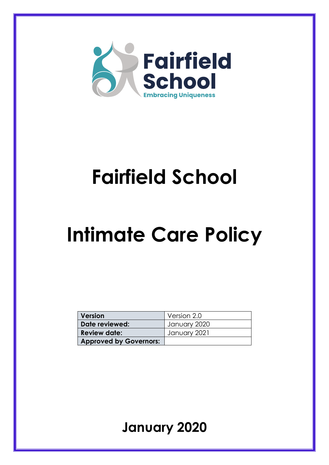

# **Fairfield School**

# **Intimate Care Policy**

| Version                       | Version 2.0  |
|-------------------------------|--------------|
| Date reviewed:                | January 2020 |
| <b>Review date:</b>           | January 2021 |
| <b>Approved by Governors:</b> |              |

**January 2020**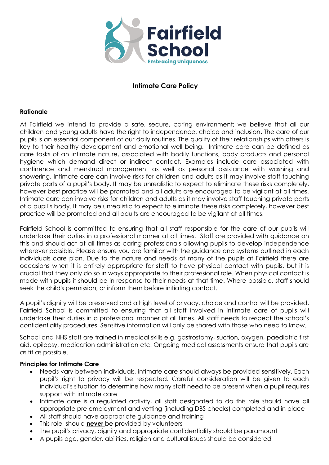

# **Intimate Care Policy**

#### **Rationale**

At Fairfield we intend to provide a safe, secure, caring environment; we believe that all our children and young adults have the right to independence, choice and inclusion. The care of our pupils is an essential component of our daily routines. The quality of their relationships with others is key to their healthy development and emotional well being. Intimate care can be defined as care tasks of an intimate nature, associated with bodily functions, body products and personal hygiene which demand direct or indirect contact. Examples include care associated with continence and menstrual management as well as personal assistance with washing and showering. Intimate care can involve risks for children and adults as it may involve staff touching private parts of a pupil's body. It may be unrealistic to expect to eliminate these risks completely, however best practice will be promoted and all adults are encouraged to be vigilant at all times. Intimate care can involve risks for children and adults as it may involve staff touching private parts of a pupil's body. It may be unrealistic to expect to eliminate these risks completely, however best practice will be promoted and all adults are encouraged to be vigilant at all times.

Fairfield School is committed to ensuring that all staff responsible for the care of our pupils will undertake their duties in a professional manner at all times. Staff are provided with guidance on this and should act at all times as caring professionals allowing pupils to develop independence wherever possible. Please ensure you are familiar with the guidance and systems outlined in each individuals care plan. Due to the nature and needs of many of the pupils at Fairfield there are occasions when it is entirely appropriate for staff to have physical contact with pupils, but it is crucial that they only do so in ways appropriate to their professional role. When physical contact is made with pupils it should be in response to their needs at that time. Where possible, staff should seek the child's permission, or inform them before initiating contact.

A pupil's dignity will be preserved and a high level of privacy, choice and control will be provided. Fairfield School is committed to ensuring that all staff involved in intimate care of pupils will undertake their duties in a professional manner at all times. All staff needs to respect the school's confidentiality procedures. Sensitive information will only be shared with those who need to know.

School and NHS staff are trained in medical skills e.g. gastrostomy, suction, oxygen, paediatric first aid, epilepsy, medication administration etc. Ongoing medical assessments ensure that pupils are as fit as possible.

#### **Principles for Intimate Care**

- Needs vary between individuals, intimate care should always be provided sensitively. Each pupil's right to privacy will be respected. Careful consideration will be given to each individual's situation to determine how many staff need to be present when a pupil requires support with intimate care
- Intimate care is a regulated activity, all staff designated to do this role should have all appropriate pre employment and vetting (including DBS checks) completed and in place
- All staff should have appropriate guidance and training
- This role should **never** be provided by volunteers
- The pupil's privacy, dignity and appropriate confidentiality should be paramount
- A pupils age, gender, abilities, religion and cultural issues should be considered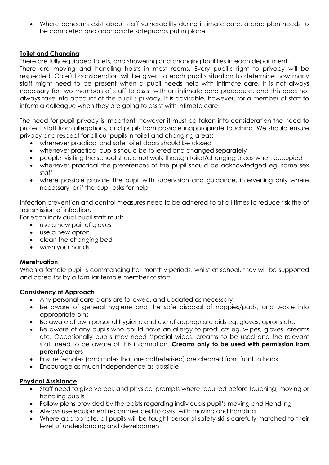Where concerns exist about staff vulnerability during intimate care, a care plan needs to be completed and appropriate safeguards put in place

## **Toilet and Changing**

There are fully equipped toilets, and showering and changing facilities in each department.

There are moving and handling hoists in most rooms. Every pupil's right to privacy will be respected. Careful consideration will be given to each pupil's situation to determine how many staff might need to be present when a pupil needs help with intimate care. It is not always necessary for two members of staff to assist with an intimate care procedure, and this does not always take into account of the pupil's privacy. It is advisable, however, for a member of staff to inform a colleague when they are going to assist with intimate care.

The need for pupil privacy is important; however it must be taken into consideration the need to protect staff from allegations, and pupils from possible inappropriate touching. We should ensure privacy and respect for all our pupils in toilet and changing areas:

- whenever practical and safe toilet doors should be closed
- whenever practical pupils should be toileted and changed separately
- people visiting the school should not walk through toilet/changing areas when occupied
- whenever practical the preferences of the pupil should be acknowledged eg. same sex staff
- where possible provide the pupil with supervision and guidance, intervening only where necessary, or if the pupil asks for help

Infection prevention and control measures need to be adhered to at all times to reduce risk the of transmission of infection.

For each individual pupil staff must:

- use a new pair of gloves
- use a new apron
- clean the changing bed
- wash your hands

## **Menstruation**

When a female pupil is commencing her monthly periods, whilst at school, they will be supported and cared for by a familiar female member of staff.

## **Consistency of Approach**

- Any personal care plans are followed, and updated as necessary
- Be aware of general hygiene and the safe disposal of nappies/pads, and waste into appropriate bins
- Be aware of own personal hygiene and use of appropriate aids eg. gloves, aprons etc.
- Be aware of any pupils who could have an allergy to products eg. wipes, gloves. creams etc. Occasionally pupils may need 'special wipes, creams to be used and the relevant staff need to be aware of this information. **Creams only to be used with permission from parents/carers**
- Ensure females (and males that are catheterised) are cleaned from front to back
- Encourage as much independence as possible

## **Physical Assistance**

- Staff need to give verbal, and physical prompts where required before touching, moving or handling pupils
- Follow plans provided by therapists regarding individuals pupil's moving and Handling
- Always use equipment recommended to assist with moving and handling
- Where appropriate, all pupils will be taught personal safety skills carefully matched to their level of understanding and development.